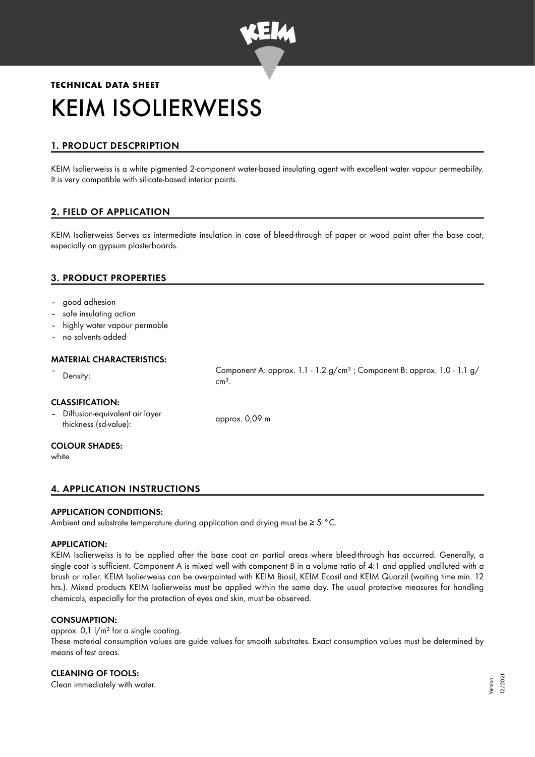

# **TECHNICAL DATA SHEET** KEIM ISOLIERWEISS

# 1. PRODUCT DESCPRIPTION

KEIM Isolierweiss is a white pigmented 2-component water-based insulating agent with excellent water vapour permeability. It is very compatible with silicate-based interior paints.

# 2. FIELD OF APPLICATION

KEIM Isolierweiss Serves as intermediate insulation in case of bleed-through of paper or wood paint after the base coat, especially on gypsum plasterboards.

# 3. PRODUCT PROPERTIES

- good adhesion
- safe insulating action
- highly water vapour permable
- no solvents added

# MATERIAL CHARACTERISTICS:

Example 1.1 approx. 1.1 - 1.2 g/cm<sup>3</sup>; Component B: approx. 1.0 - 1.1 g/

CLASSIFICATION:

– Diffusion-equivalent air layer binusion-equivalent air layer<br>thickness (sd-value): approx. 0,09 m

#### COLOUR SHADES:

white

# 4. APPLICATION INSTRUCTIONS

### APPLICATION CONDITIONS:

Ambient and substrate temperature during application and drying must be ≥ 5 °C.

 $cm<sup>3</sup>$ .

### APPLICATION:

KEIM Isolierweiss is to be applied after the base coat on partial areas where bleed-through has occurred. Generally, a single coat is sufficient. Component A is mixed well with component B in a volume ratio of 4:1 and applied undiluted with a brush or roller. KEIM Isolierweiss can be overpainted with KEIM Biosil, KEIM Ecosil and KEIM Quarzil (waiting time min. 12 hrs.). Mixed products KEIM Isolierweiss must be applied within the same day. The usual protective measures for handling chemicals, especially for the protection of eyes and skin, must be observed.

### CONSUMPTION:

# approx. 0,1  $1/m^2$  for a single coating.

These material consumption values are guide values for smooth substrates. Exact consumption values must be determined by means of test areas.

### CLEANING OF TOOLS:

Clean immediately with water.